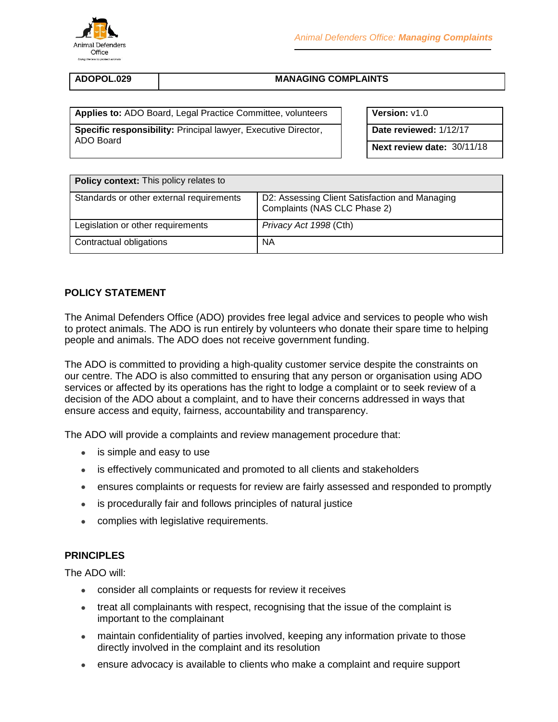

### **ADOPOL.029 MANAGING COMPLAINTS**

**Applies to:** ADO Board, Legal Practice Committee, volunteers **Version:**  $v1.0$ 

**Specific responsibility:** Principal lawyer, Executive Director, ADO Board

**Date reviewed:** 1/12/17

**Next review date:** 30/11/18

| <b>Policy context:</b> This policy relates to |                                                                                |
|-----------------------------------------------|--------------------------------------------------------------------------------|
| Standards or other external requirements      | D2: Assessing Client Satisfaction and Managing<br>Complaints (NAS CLC Phase 2) |
| Legislation or other requirements             | Privacy Act 1998 (Cth)                                                         |
| Contractual obligations                       | <b>NA</b>                                                                      |

# **POLICY STATEMENT**

The Animal Defenders Office (ADO) provides free legal advice and services to people who wish to protect animals. The ADO is run entirely by volunteers who donate their spare time to helping people and animals. The ADO does not receive government funding.

The ADO is committed to providing a high-quality customer service despite the constraints on our centre. The ADO is also committed to ensuring that any person or organisation using ADO services or affected by its operations has the right to lodge a complaint or to seek review of a decision of the ADO about a complaint, and to have their concerns addressed in ways that ensure access and equity, fairness, accountability and transparency.

The ADO will provide a complaints and review management procedure that:

- is simple and easy to use
- is effectively communicated and promoted to all clients and stakeholders
- ensures complaints or requests for review are fairly assessed and responded to promptly
- is procedurally fair and follows principles of natural justice
- complies with legislative requirements.

#### **PRINCIPLES**

The ADO will:

- consider all complaints or requests for review it receives
- treat all complainants with respect, recognising that the issue of the complaint is important to the complainant
- maintain confidentiality of parties involved, keeping any information private to those directly involved in the complaint and its resolution
- ensure advocacy is available to clients who make a complaint and require support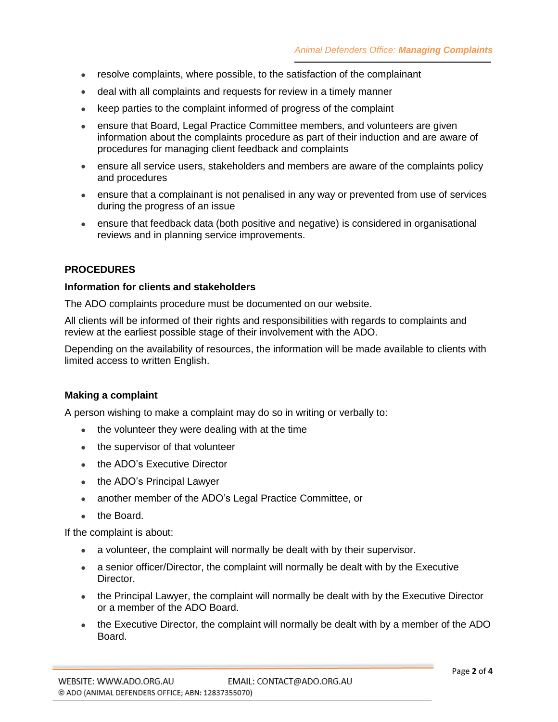- resolve complaints, where possible, to the satisfaction of the complainant
- deal with all complaints and requests for review in a timely manner
- keep parties to the complaint informed of progress of the complaint
- ensure that Board, Legal Practice Committee members, and volunteers are given information about the complaints procedure as part of their induction and are aware of procedures for managing client feedback and complaints
- ensure all service users, stakeholders and members are aware of the complaints policy and procedures
- ensure that a complainant is not penalised in any way or prevented from use of services during the progress of an issue
- ensure that feedback data (both positive and negative) is considered in organisational reviews and in planning service improvements.

# **PROCEDURES**

#### **Information for clients and stakeholders**

The ADO complaints procedure must be documented on our website.

All clients will be informed of their rights and responsibilities with regards to complaints and review at the earliest possible stage of their involvement with the ADO.

Depending on the availability of resources, the information will be made available to clients with limited access to written English.

# **Making a complaint**

A person wishing to make a complaint may do so in writing or verbally to:

- the volunteer they were dealing with at the time
- the supervisor of that volunteer
- the ADO's Executive Director
- the ADO's Principal Lawyer
- another member of the ADO's Legal Practice Committee, or
- the Board.

If the complaint is about:

- a volunteer, the complaint will normally be dealt with by their supervisor.
- a senior officer/Director, the complaint will normally be dealt with by the Executive Director.
- the Principal Lawyer, the complaint will normally be dealt with by the Executive Director or a member of the ADO Board.
- the Executive Director, the complaint will normally be dealt with by a member of the ADO Board.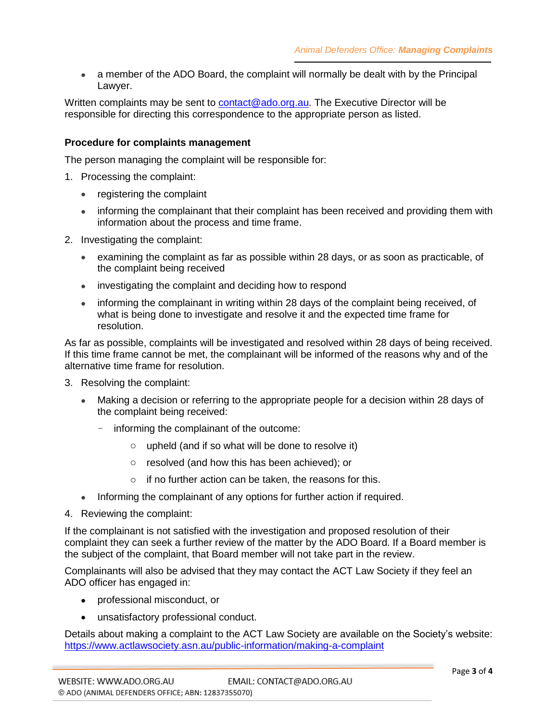• a member of the ADO Board, the complaint will normally be dealt with by the Principal Lawyer.

Written complaints may be sent to [contact@ado.org.au.](mailto:contact@ado.org.au) The Executive Director will be responsible for directing this correspondence to the appropriate person as listed.

# **Procedure for complaints management**

The person managing the complaint will be responsible for:

- 1. Processing the complaint:
	- registering the complaint
	- informing the complainant that their complaint has been received and providing them with information about the process and time frame.
- 2. Investigating the complaint:
	- examining the complaint as far as possible within 28 days, or as soon as practicable, of the complaint being received
	- investigating the complaint and deciding how to respond
	- informing the complainant in writing within 28 days of the complaint being received, of what is being done to investigate and resolve it and the expected time frame for resolution.

As far as possible, complaints will be investigated and resolved within 28 days of being received. If this time frame cannot be met, the complainant will be informed of the reasons why and of the alternative time frame for resolution.

- 3. Resolving the complaint:
	- Making a decision or referring to the appropriate people for a decision within 28 days of the complaint being received:
		- informing the complainant of the outcome:
			- o upheld (and if so what will be done to resolve it)
			- o resolved (and how this has been achieved); or
			- $\circ$  if no further action can be taken, the reasons for this.
	- Informing the complainant of any options for further action if required.
- 4. Reviewing the complaint:

If the complainant is not satisfied with the investigation and proposed resolution of their complaint they can seek a further review of the matter by the ADO Board. If a Board member is the subject of the complaint, that Board member will not take part in the review.

Complainants will also be advised that they may contact the ACT Law Society if they feel an ADO officer has engaged in:

- professional misconduct, or
- unsatisfactory professional conduct.

Details about making a complaint to the ACT Law Society are available on the Society's website: <https://www.actlawsociety.asn.au/public-information/making-a-complaint>